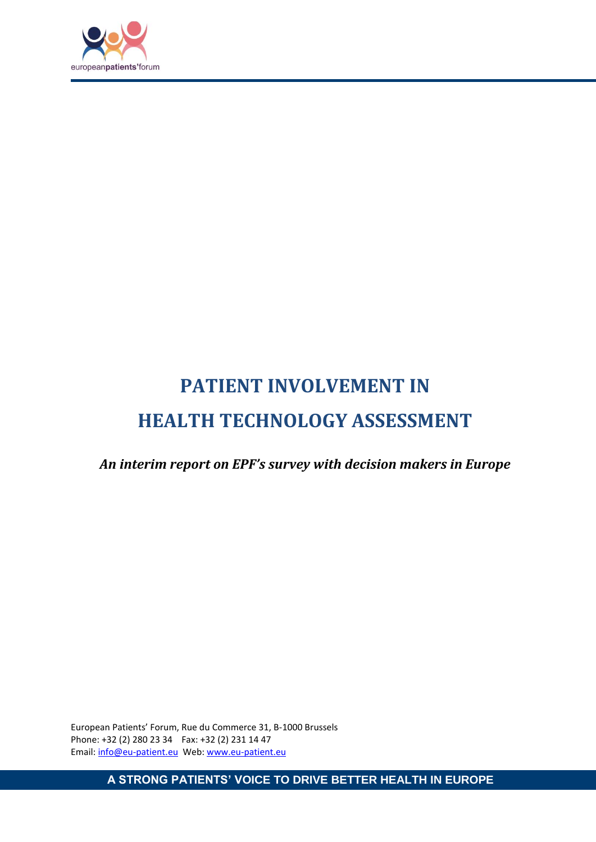

# <span id="page-0-0"></span>**PATIENT INVOLVEMENT IN HEALTH TECHNOLOGY ASSESSMENT**

<span id="page-0-1"></span>*An interim report on EPF's survey with decision makers in Europe*

European Patients' Forum, Rue du Commerce 31, B-1000 Brussels Phone: +32 (2) 280 23 34 Fax: +32 (2) 231 14 47 Email: info@eu-patient.eu Web: www.eu-patient.eu

**A STRONG PATIENTS' VOICE TO DRIVE BETTER HEALTH IN EUROPE**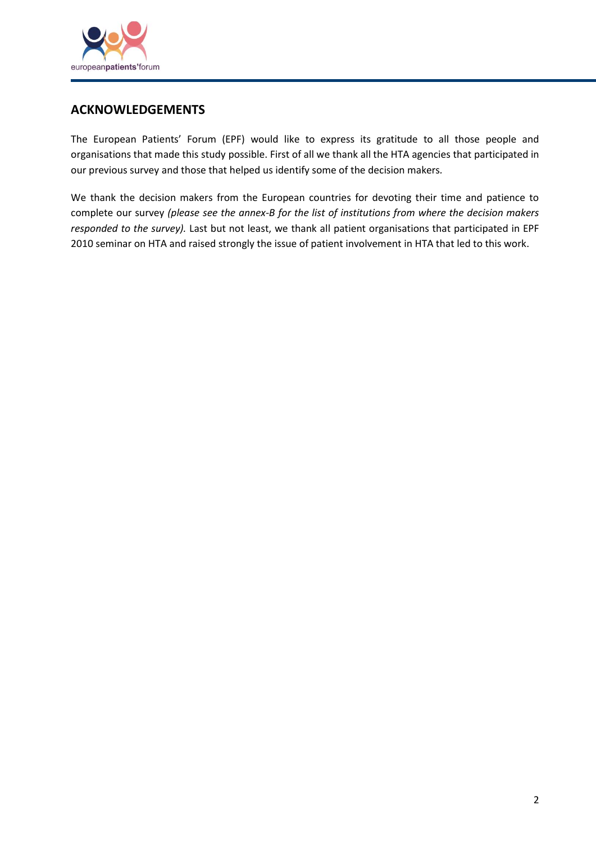

## <span id="page-1-0"></span>**ACKNOWLEDGEMENTS**

The European Patients' Forum (EPF) would like to express its gratitude to all those people and organisations that made this study possible. First of all we thank all the HTA agencies that participated in our previous survey and those that helped us identify some of the decision makers*.*

We thank the decision makers from the European countries for devoting their time and patience to complete our survey *(please see the annex-B for the list of institutions from where the decision makers responded to the survey).* Last but not least, we thank all patient organisations that participated in EPF 2010 seminar on HTA and raised strongly the issue of patient involvement in HTA that led to this work.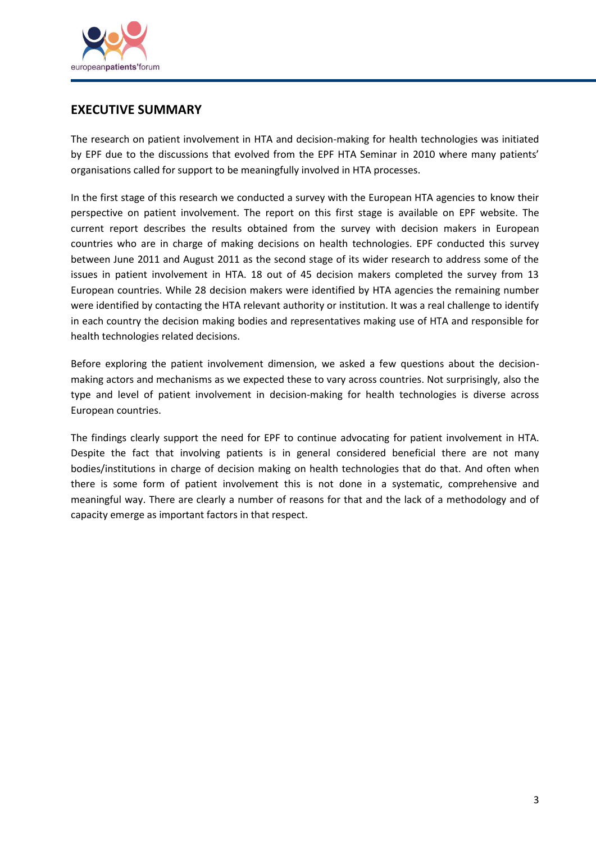

## <span id="page-2-0"></span>**EXECUTIVE SUMMARY**

The research on patient involvement in HTA and decision-making for health technologies was initiated by EPF due to the discussions that evolved from the EPF HTA Seminar in 2010 where many patients' organisations called for support to be meaningfully involved in HTA processes.

In the first stage of this research we conducted a survey with the European HTA agencies to know their perspective on patient involvement. The report on this first stage is available on EPF website. The current report describes the results obtained from the survey with decision makers in European countries who are in charge of making decisions on health technologies. EPF conducted this survey between June 2011 and August 2011 as the second stage of its wider research to address some of the issues in patient involvement in HTA. 18 out of 45 decision makers completed the survey from 13 European countries. While 28 decision makers were identified by HTA agencies the remaining number were identified by contacting the HTA relevant authority or institution. It was a real challenge to identify in each country the decision making bodies and representatives making use of HTA and responsible for health technologies related decisions.

Before exploring the patient involvement dimension, we asked a few questions about the decisionmaking actors and mechanisms as we expected these to vary across countries. Not surprisingly, also the type and level of patient involvement in decision-making for health technologies is diverse across European countries.

The findings clearly support the need for EPF to continue advocating for patient involvement in HTA. Despite the fact that involving patients is in general considered beneficial there are not many bodies/institutions in charge of decision making on health technologies that do that. And often when there is some form of patient involvement this is not done in a systematic, comprehensive and meaningful way. There are clearly a number of reasons for that and the lack of a methodology and of capacity emerge as important factors in that respect.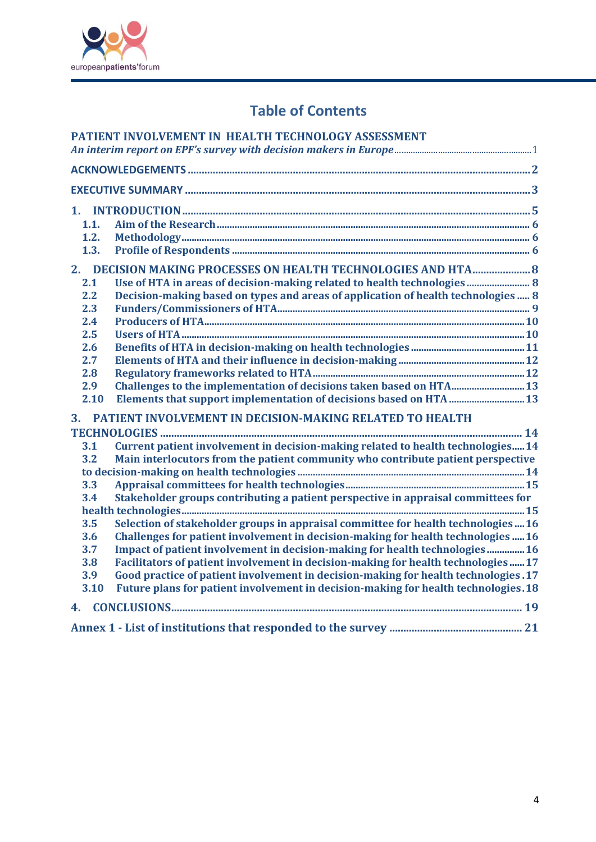

## **Table of Contents**

|      | PATIENT INVOLVEMENT IN HEALTH TECHNOLOGY ASSESSMENT                                 |
|------|-------------------------------------------------------------------------------------|
|      |                                                                                     |
|      |                                                                                     |
|      |                                                                                     |
| 1.   |                                                                                     |
| 1.1. |                                                                                     |
| 1.2. |                                                                                     |
| 1.3. |                                                                                     |
|      |                                                                                     |
| 2.1  | Use of HTA in areas of decision-making related to health technologies 8             |
| 2.2  | Decision-making based on types and areas of application of health technologies 8    |
| 2.3  |                                                                                     |
| 2.4  |                                                                                     |
| 2.5  |                                                                                     |
| 2.6  |                                                                                     |
| 2.7  |                                                                                     |
| 2.8  |                                                                                     |
| 2.9  | Challenges to the implementation of decisions taken based on HTA 13                 |
| 2.10 |                                                                                     |
| 3.   | PATIENT INVOLVEMENT IN DECISION-MAKING RELATED TO HEALTH                            |
|      |                                                                                     |
| 3.1  | Current patient involvement in decision-making related to health technologies14     |
| 3.2  | Main interlocutors from the patient community who contribute patient perspective    |
|      |                                                                                     |
| 3.3  |                                                                                     |
| 3.4  | Stakeholder groups contributing a patient perspective in appraisal committees for   |
|      |                                                                                     |
| 3.5  | Selection of stakeholder groups in appraisal committee for health technologies  16  |
| 3.6  | Challenges for patient involvement in decision-making for health technologies  16   |
| 3.7  | Impact of patient involvement in decision-making for health technologies 16         |
| 3.8  | Facilitators of patient involvement in decision-making for health technologies17    |
| 3.9  | Good practice of patient involvement in decision-making for health technologies. 17 |
| 3.10 | Future plans for patient involvement in decision-making for health technologies. 18 |
| 4.   |                                                                                     |
|      |                                                                                     |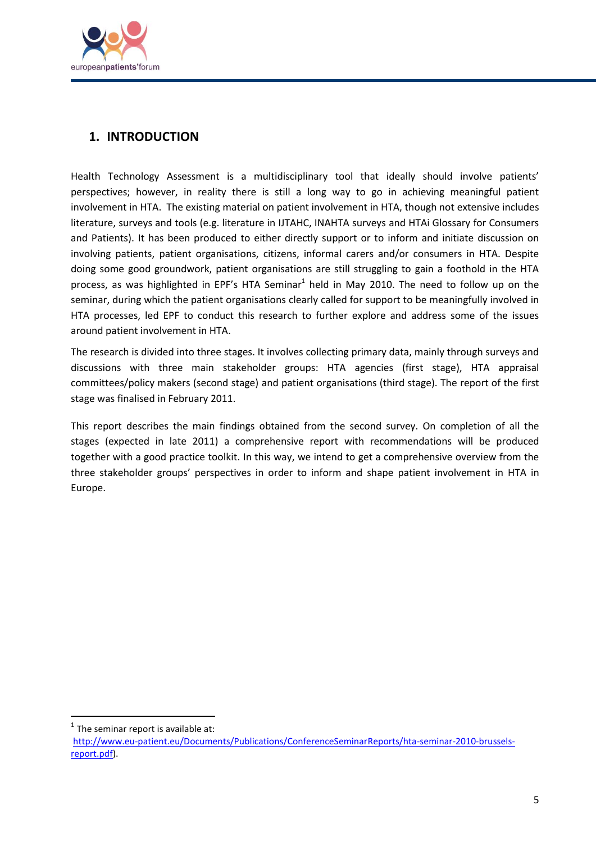

## <span id="page-4-0"></span>**1. INTRODUCTION**

Health Technology Assessment is a multidisciplinary tool that ideally should involve patients' perspectives; however, in reality there is still a long way to go in achieving meaningful patient involvement in HTA. The existing material on patient involvement in HTA, though not extensive includes literature, surveys and tools (e.g. literature in IJTAHC, INAHTA surveys and HTAi Glossary for Consumers and Patients). It has been produced to either directly support or to inform and initiate discussion on involving patients, patient organisations, citizens, informal carers and/or consumers in HTA. Despite doing some good groundwork, patient organisations are still struggling to gain a foothold in the HTA process, as was highlighted in EPF's HTA Seminar<sup>1</sup> held in May 2010. The need to follow up on the seminar, during which the patient organisations clearly called for support to be meaningfully involved in HTA processes, led EPF to conduct this research to further explore and address some of the issues around patient involvement in HTA.

The research is divided into three stages. It involves collecting primary data, mainly through surveys and discussions with three main stakeholder groups: HTA agencies (first stage), HTA appraisal committees/policy makers (second stage) and patient organisations (third stage). The report of the first stage was finalised in February 2011.

This report describes the main findings obtained from the second survey. On completion of all the stages (expected in late 2011) a comprehensive report with recommendations will be produced together with a good practice toolkit. In this way, we intend to get a comprehensive overview from the three stakeholder groups' perspectives in order to inform and shape patient involvement in HTA in Europe.

**.** 

 $<sup>1</sup>$  The seminar report is available at:</sup>

[http://www.eu-patient.eu/Documents/Publications/ConferenceSeminarReports/hta-seminar-2010-brussels](http://www.eu-patient.eu/Documents/Publications/ConferenceSeminarReports/hta-seminar-2010-brussels-report.pdf)[report.pdf\)](http://www.eu-patient.eu/Documents/Publications/ConferenceSeminarReports/hta-seminar-2010-brussels-report.pdf).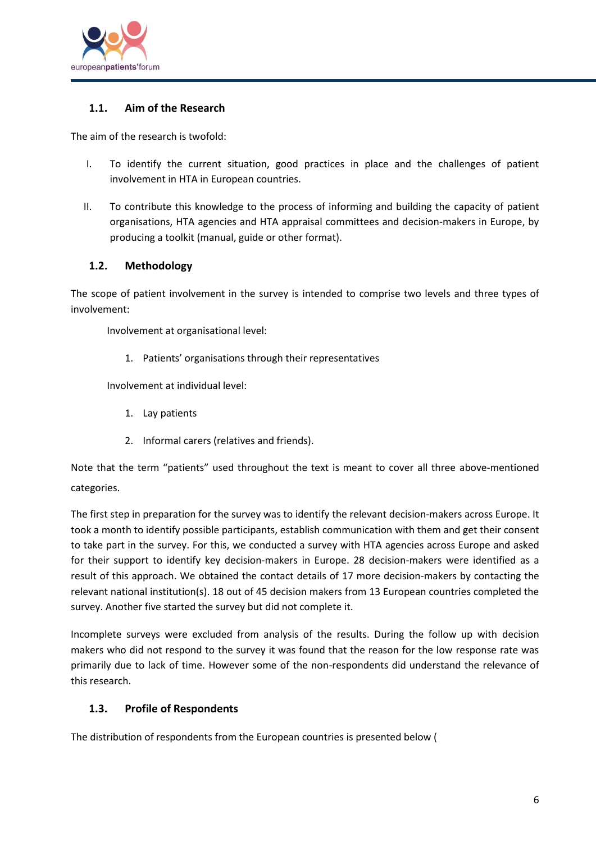

### <span id="page-5-0"></span>**1.1. Aim of the Research**

The aim of the research is twofold:

- I. To identify the current situation, good practices in place and the challenges of patient involvement in HTA in European countries.
- II. To contribute this knowledge to the process of informing and building the capacity of patient organisations, HTA agencies and HTA appraisal committees and decision-makers in Europe, by producing a toolkit (manual, guide or other format).

#### <span id="page-5-1"></span>**1.2. Methodology**

The scope of patient involvement in the survey is intended to comprise two levels and three types of involvement:

Involvement at organisational level:

1. Patients' organisations through their representatives

Involvement at individual level:

- 1. Lay patients
- 2. Informal carers (relatives and friends).

Note that the term "patients" used throughout the text is meant to cover all three above-mentioned categories.

The first step in preparation for the survey was to identify the relevant decision-makers across Europe. It took a month to identify possible participants, establish communication with them and get their consent to take part in the survey. For this, we conducted a survey with HTA agencies across Europe and asked for their support to identify key decision-makers in Europe. 28 decision-makers were identified as a result of this approach. We obtained the contact details of 17 more decision-makers by contacting the relevant national institution(s). 18 out of 45 decision makers from 13 European countries completed the survey. Another five started the survey but did not complete it.

Incomplete surveys were excluded from analysis of the results. During the follow up with decision makers who did not respond to the survey it was found that the reason for the low response rate was primarily due to lack of time. However some of the non-respondents did understand the relevance of this research.

#### <span id="page-5-2"></span>**1.3. Profile of Respondents**

The distribution of respondents from the European countries is presented below [\(](#page-6-0)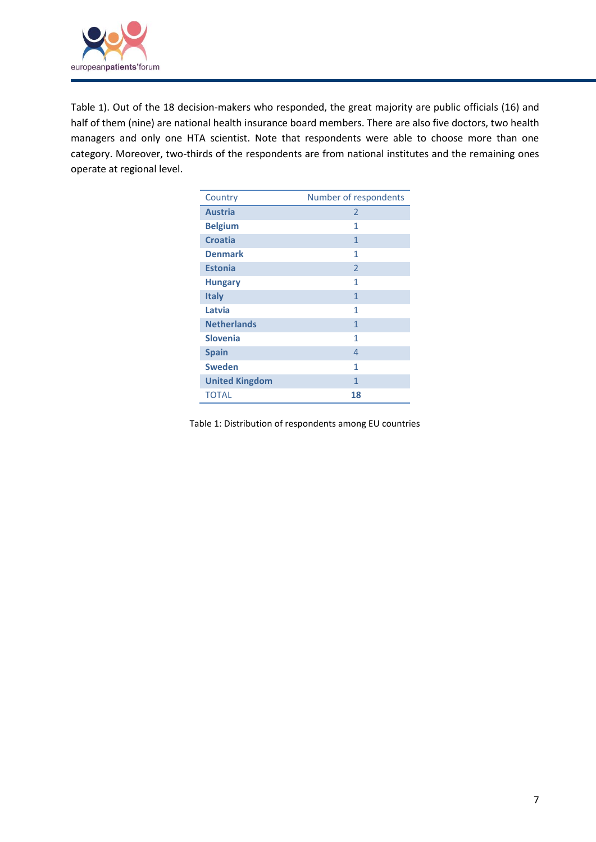

[Table](#page-6-0) 1). Out of the 18 decision-makers who responded, the great majority are public officials (16) and half of them (nine) are national health insurance board members. There are also five doctors, two health managers and only one HTA scientist. Note that respondents were able to choose more than one category. Moreover, two-thirds of the respondents are from national institutes and the remaining ones operate at regional level.

| Country               | Number of respondents |
|-----------------------|-----------------------|
| <b>Austria</b>        | $\overline{2}$        |
| <b>Belgium</b>        | 1                     |
| <b>Croatia</b>        | $\mathbf{1}$          |
| <b>Denmark</b>        | 1                     |
| <b>Estonia</b>        | $\overline{2}$        |
| <b>Hungary</b>        | 1                     |
| <b>Italy</b>          | 1                     |
| Latvia                | 1                     |
| <b>Netherlands</b>    | 1                     |
| <b>Slovenia</b>       | 1                     |
| <b>Spain</b>          | $\overline{4}$        |
| <b>Sweden</b>         | 1                     |
| <b>United Kingdom</b> | 1                     |
| <b>TOTAL</b>          | 18                    |

<span id="page-6-0"></span>Table 1: Distribution of respondents among EU countries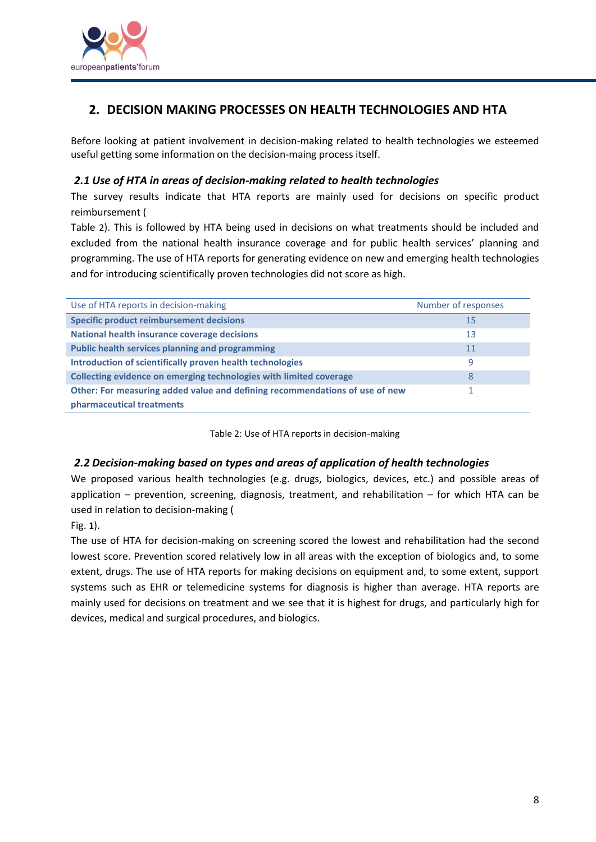

## <span id="page-7-0"></span>**2. DECISION MAKING PROCESSES ON HEALTH TECHNOLOGIES AND HTA**

Before looking at patient involvement in decision-making related to health technologies we esteemed useful getting some information on the decision-maing process itself.

#### <span id="page-7-1"></span>*2.1 Use of HTA in areas of decision-making related to health technologies*

The survey results indicate that HTA reports are mainly used for decisions on specific product reimbursement [\(](#page-7-3)

[Table](#page-7-3) 2). This is followed by HTA being used in decisions on what treatments should be included and excluded from the national health insurance coverage and for public health services' planning and programming. The use of HTA reports for generating evidence on new and emerging health technologies and for introducing scientifically proven technologies did not score as high.

| Use of HTA reports in decision-making                                       | Number of responses |
|-----------------------------------------------------------------------------|---------------------|
| <b>Specific product reimbursement decisions</b>                             | 15                  |
| National health insurance coverage decisions                                | 13                  |
| <b>Public health services planning and programming</b>                      | 11                  |
| Introduction of scientifically proven health technologies                   | 9                   |
| Collecting evidence on emerging technologies with limited coverage          | 8                   |
| Other: For measuring added value and defining recommendations of use of new |                     |
| pharmaceutical treatments                                                   |                     |

Table 2: Use of HTA reports in decision-making

#### <span id="page-7-3"></span><span id="page-7-2"></span>*2.2 Decision-making based on types and areas of application of health technologies*

We proposed various health technologies (e.g. drugs, biologics, devices, etc.) and possible areas of application – prevention, screening, diagnosis, treatment, and rehabilitation – for which HTA can be used in relation to decision-making [\(](#page-8-1)

#### [Fig.](#page-8-1) **1**).

The use of HTA for decision-making on screening scored the lowest and rehabilitation had the second lowest score. Prevention scored relatively low in all areas with the exception of biologics and, to some extent, drugs. The use of HTA reports for making decisions on equipment and, to some extent, support systems such as EHR or telemedicine systems for diagnosis is higher than average. HTA reports are mainly used for decisions on treatment and we see that it is highest for drugs, and particularly high for devices, medical and surgical procedures, and biologics.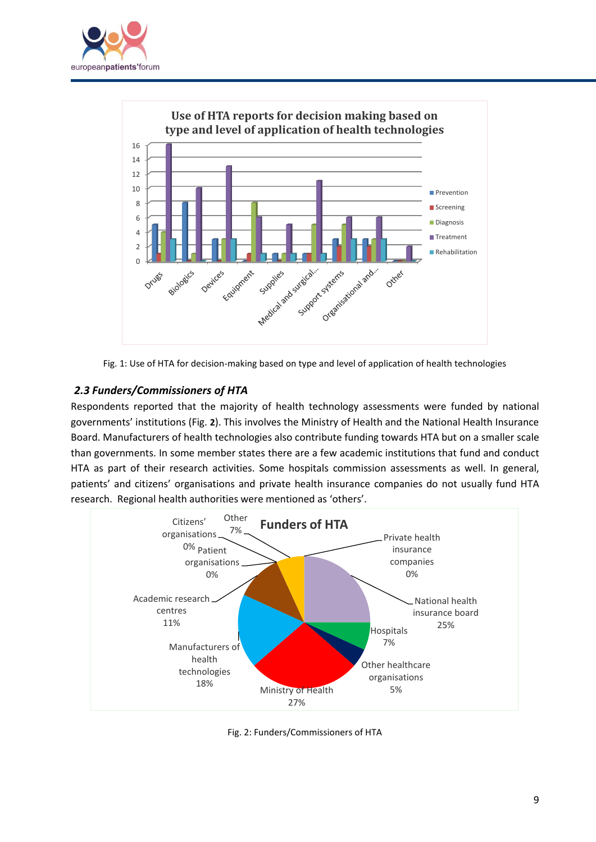



<span id="page-8-1"></span>Fig. 1: Use of HTA for decision-making based on type and level of application of health technologies

## <span id="page-8-0"></span>*2.3 Funders/Commissioners of HTA*

Respondents reported that the majority of health technology assessments were funded by national governments' institutions [\(Fig.](#page-8-2) **2**). This involves the Ministry of Health and the National Health Insurance Board. Manufacturers of health technologies also contribute funding towards HTA but on a smaller scale than governments. In some member states there are a few academic institutions that fund and conduct HTA as part of their research activities. Some hospitals commission assessments as well. In general, patients' and citizens' organisations and private health insurance companies do not usually fund HTA research. Regional health authorities were mentioned as 'others'.

![](_page_8_Figure_5.jpeg)

<span id="page-8-2"></span>Fig. 2: Funders/Commissioners of HTA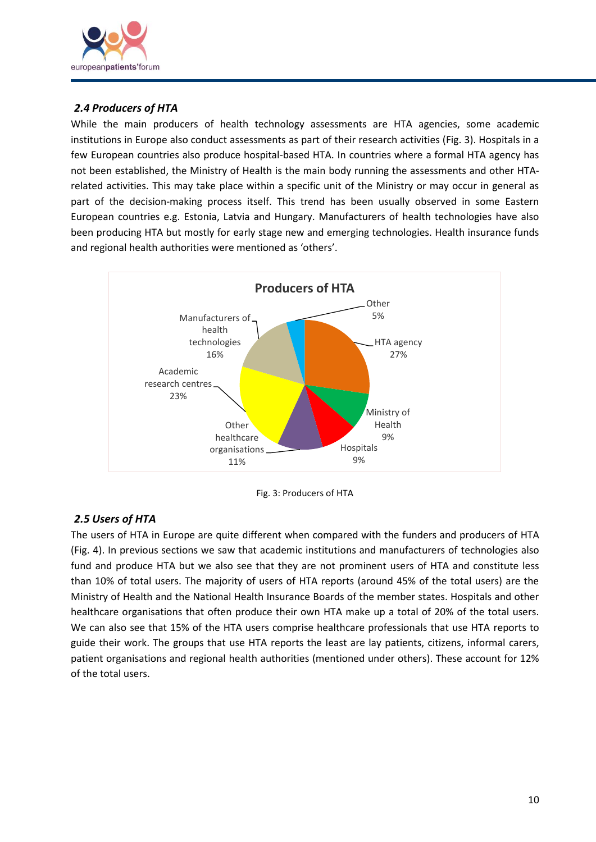![](_page_9_Picture_0.jpeg)

#### <span id="page-9-0"></span>*2.4 Producers of HTA*

While the main producers of health technology assessments are HTA agencies, some academic institutions in Europe also conduct assessments as part of their research activities [\(Fig.](#page-9-2) 3). Hospitals in a few European countries also produce hospital-based HTA. In countries where a formal HTA agency has not been established, the Ministry of Health is the main body running the assessments and other HTArelated activities. This may take place within a specific unit of the Ministry or may occur in general as part of the decision-making process itself. This trend has been usually observed in some Eastern European countries e.g. Estonia, Latvia and Hungary. Manufacturers of health technologies have also been producing HTA but mostly for early stage new and emerging technologies. Health insurance funds and regional health authorities were mentioned as 'others'.

![](_page_9_Figure_3.jpeg)

![](_page_9_Figure_4.jpeg)

## <span id="page-9-2"></span><span id="page-9-1"></span>*2.5 Users of HTA*

The users of HTA in Europe are quite different when compared with the funders and producers of HTA [\(Fig.](#page-10-1) 4). In previous sections we saw that academic institutions and manufacturers of technologies also fund and produce HTA but we also see that they are not prominent users of HTA and constitute less than 10% of total users. The majority of users of HTA reports (around 45% of the total users) are the Ministry of Health and the National Health Insurance Boards of the member states. Hospitals and other healthcare organisations that often produce their own HTA make up a total of 20% of the total users. We can also see that 15% of the HTA users comprise healthcare professionals that use HTA reports to guide their work. The groups that use HTA reports the least are lay patients, citizens, informal carers, patient organisations and regional health authorities (mentioned under others). These account for 12% of the total users.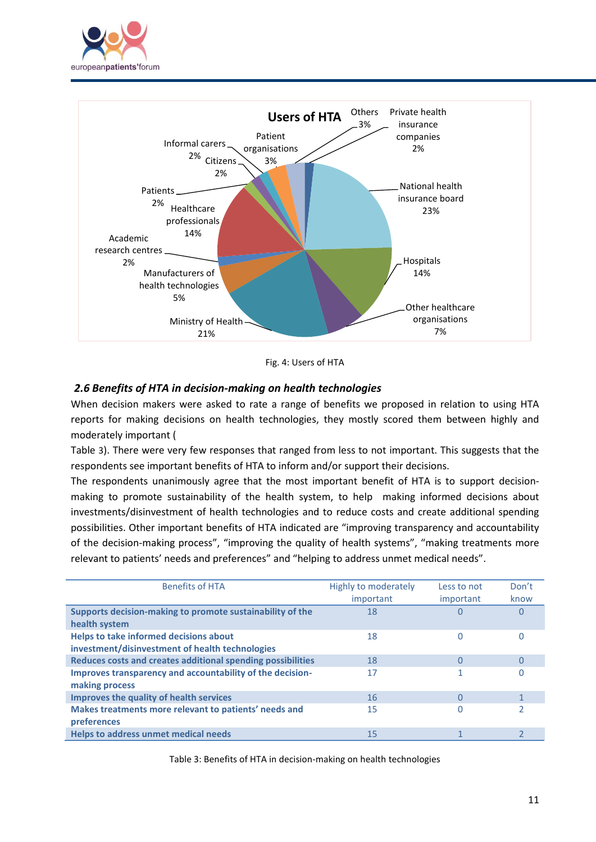![](_page_10_Picture_0.jpeg)

![](_page_10_Figure_1.jpeg)

Fig. 4: Users of HTA

#### <span id="page-10-1"></span><span id="page-10-0"></span>*2.6 Benefits of HTA in decision-making on health technologies*

When decision makers were asked to rate a range of benefits we proposed in relation to using HTA reports for making decisions on health technologies, they mostly scored them between highly and moderately important [\(](#page-10-2)

[Table](#page-10-2) 3). There were very few responses that ranged from less to not important. This suggests that the respondents see important benefits of HTA to inform and/or support their decisions.

The respondents unanimously agree that the most important benefit of HTA is to support decisionmaking to promote sustainability of the health system, to help making informed decisions about investments/disinvestment of health technologies and to reduce costs and create additional spending possibilities. Other important benefits of HTA indicated are "improving transparency and accountability of the decision-making process", "improving the quality of health systems", "making treatments more relevant to patients' needs and preferences" and "helping to address unmet medical needs".

| <b>Benefits of HTA</b>                                                                    | <b>Highly to moderately</b><br>important | Less to not<br>important | Don't<br>know |
|-------------------------------------------------------------------------------------------|------------------------------------------|--------------------------|---------------|
| Supports decision-making to promote sustainability of the<br>health system                | 18                                       |                          |               |
| Helps to take informed decisions about<br>investment/disinvestment of health technologies | 18                                       | O                        |               |
| Reduces costs and creates additional spending possibilities                               | 18                                       | 0                        |               |
| Improves transparency and accountability of the decision-<br>making process               | 17                                       |                          |               |
| <b>Improves the quality of health services</b>                                            | 16                                       | O                        |               |
| Makes treatments more relevant to patients' needs and<br>preferences                      | 15                                       |                          |               |
| <b>Helps to address unmet medical needs</b>                                               | 15                                       |                          |               |

<span id="page-10-2"></span>Table 3: Benefits of HTA in decision-making on health technologies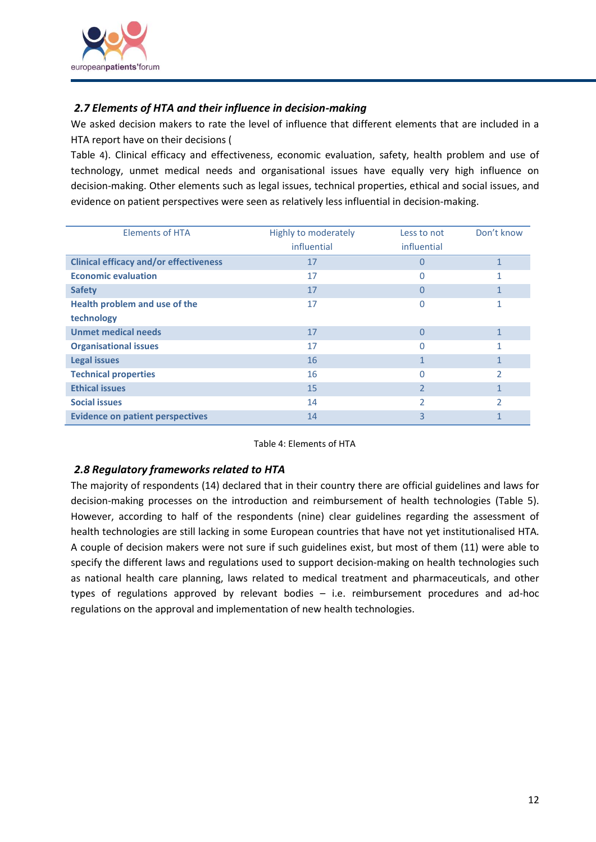![](_page_11_Picture_0.jpeg)

#### <span id="page-11-0"></span>*2.7 Elements of HTA and their influence in decision-making*

We asked decision makers to rate the level of influence that different elements that are included in a HTA report have on their decisions [\(](#page-11-2)

[Table](#page-11-2) 4). Clinical efficacy and effectiveness, economic evaluation, safety, health problem and use of technology, unmet medical needs and organisational issues have equally very high influence on decision-making. Other elements such as legal issues, technical properties, ethical and social issues, and evidence on patient perspectives were seen as relatively less influential in decision-making.

| <b>Elements of HTA</b>                        | Highly to moderately | Less to not              | Don't know   |
|-----------------------------------------------|----------------------|--------------------------|--------------|
|                                               | influential          | influential              |              |
| <b>Clinical efficacy and/or effectiveness</b> | 17                   | 0                        | $\mathbf{1}$ |
| <b>Economic evaluation</b>                    | 17                   | N                        |              |
| <b>Safety</b>                                 | 17                   | 0                        |              |
| Health problem and use of the                 | 17                   | 0                        |              |
| technology                                    |                      |                          |              |
| <b>Unmet medical needs</b>                    | 17                   | 0                        |              |
| <b>Organisational issues</b>                  | 17                   | N                        |              |
| <b>Legal issues</b>                           | 16                   |                          |              |
| <b>Technical properties</b>                   | 16                   | 0                        | 2            |
| <b>Ethical issues</b>                         | 15                   | 2                        |              |
| <b>Social issues</b>                          | 14                   | $\overline{\phantom{a}}$ | C            |
| <b>Evidence on patient perspectives</b>       | 14                   | 3                        |              |

Table 4: Elements of HTA

#### <span id="page-11-2"></span><span id="page-11-1"></span>*2.8 Regulatory frameworks related to HTA*

The majority of respondents (14) declared that in their country there are official guidelines and laws for decision-making processes on the introduction and reimbursement of health technologies [\(Table 5\)](#page-12-2). However, according to half of the respondents (nine) clear guidelines regarding the assessment of health technologies are still lacking in some European countries that have not yet institutionalised HTA. A couple of decision makers were not sure if such guidelines exist, but most of them (11) were able to specify the different laws and regulations used to support decision-making on health technologies such as national health care planning, laws related to medical treatment and pharmaceuticals, and other types of regulations approved by relevant bodies – i.e. reimbursement procedures and ad-hoc regulations on the approval and implementation of new health technologies.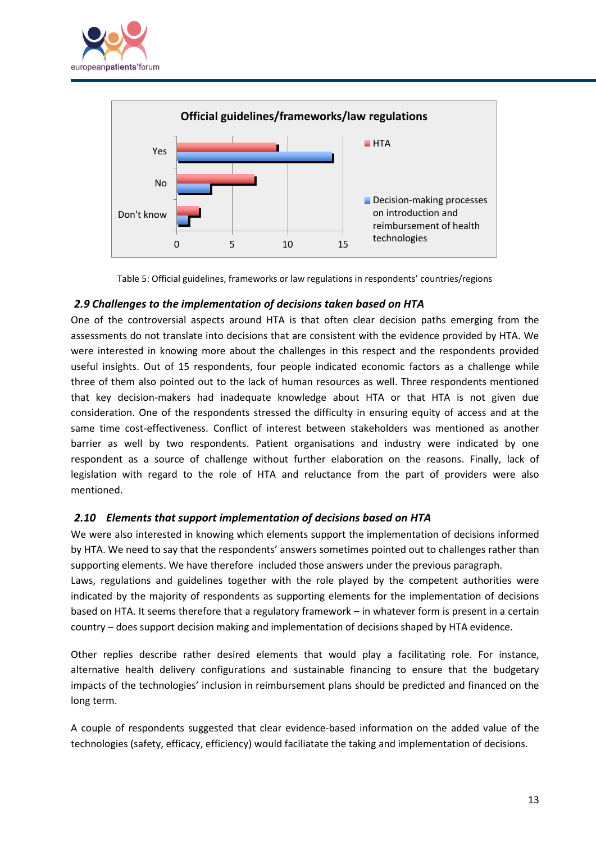![](_page_12_Picture_0.jpeg)

![](_page_12_Figure_1.jpeg)

Table 5: Official guidelines, frameworks or law regulations in respondents' countries/regions

#### <span id="page-12-2"></span><span id="page-12-0"></span>*2.9 Challenges to the implementation of decisions taken based on HTA*

One of the controversial aspects around HTA is that often clear decision paths emerging from the assessments do not translate into decisions that are consistent with the evidence provided by HTA. We were interested in knowing more about the challenges in this respect and the respondents provided useful insights. Out of 15 respondents, four people indicated economic factors as a challenge while three of them also pointed out to the lack of human resources as well. Three respondents mentioned that key decision-makers had inadequate knowledge about HTA or that HTA is not given due consideration. One of the respondents stressed the difficulty in ensuring equity of access and at the same time cost-effectiveness. Conflict of interest between stakeholders was mentioned as another barrier as well by two respondents. Patient organisations and industry were indicated by one respondent as a source of challenge without further elaboration on the reasons. Finally, lack of legislation with regard to the role of HTA and reluctance from the part of providers were also mentioned.

#### <span id="page-12-1"></span>*2.10 Elements that support implementation of decisions based on HTA*

We were also interested in knowing which elements support the implementation of decisions informed by HTA. We need to say that the respondents' answers sometimes pointed out to challenges rather than supporting elements. We have therefore included those answers under the previous paragraph. Laws, regulations and guidelines together with the role played by the competent authorities were indicated by the majority of respondents as supporting elements for the implementation of decisions based on HTA. It seems therefore that a regulatory framework – in whatever form is present in a certain

country – does support decision making and implementation of decisions shaped by HTA evidence.

Other replies describe rather desired elements that would play a facilitating role. For instance, alternative health delivery configurations and sustainable financing to ensure that the budgetary impacts of the technologies' inclusion in reimbursement plans should be predicted and financed on the long term.

A couple of respondents suggested that clear evidence-based information on the added value of the technologies (safety, efficacy, efficiency) would faciliatate the taking and implementation of decisions.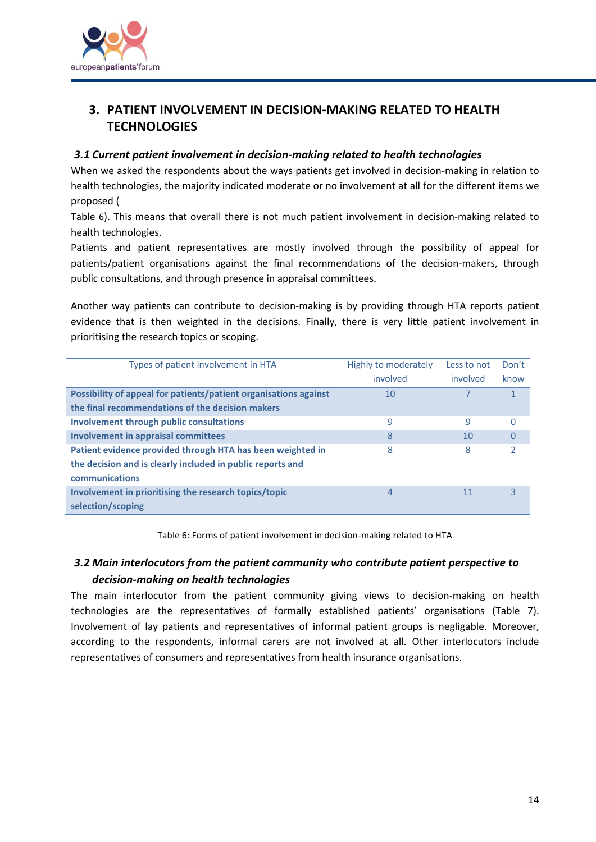![](_page_13_Picture_0.jpeg)

## <span id="page-13-0"></span>**3. PATIENT INVOLVEMENT IN DECISION-MAKING RELATED TO HEALTH TECHNOLOGIES**

#### <span id="page-13-1"></span>*3.1 Current patient involvement in decision-making related to health technologies*

When we asked the respondents about the ways patients get involved in decision-making in relation to health technologies, the majority indicated moderate or no involvement at all for the different items we proposed [\(](#page-13-3)

[Table](#page-13-3) 6). This means that overall there is not much patient involvement in decision-making related to health technologies.

Patients and patient representatives are mostly involved through the possibility of appeal for patients/patient organisations against the final recommendations of the decision-makers, through public consultations, and through presence in appraisal committees.

Another way patients can contribute to decision-making is by providing through HTA reports patient evidence that is then weighted in the decisions. Finally, there is very little patient involvement in prioritising the research topics or scoping.

| Types of patient involvement in HTA                              | Highly to moderately | Less to not | Don't    |
|------------------------------------------------------------------|----------------------|-------------|----------|
|                                                                  | involved             | involved    | know     |
| Possibility of appeal for patients/patient organisations against | 10                   |             | 1        |
| the final recommendations of the decision makers                 |                      |             |          |
| <b>Involvement through public consultations</b>                  | 9                    | 9           | $\Omega$ |
| <b>Involvement in appraisal committees</b>                       | 8                    | 10          | 0        |
| Patient evidence provided through HTA has been weighted in       | 8                    | 8           | 2        |
| the decision and is clearly included in public reports and       |                      |             |          |
| <b>communications</b>                                            |                      |             |          |
| Involvement in prioritising the research topics/topic            | 4                    | 11          | 3        |
| selection/scoping                                                |                      |             |          |

Table 6: Forms of patient involvement in decision-making related to HTA

## <span id="page-13-3"></span><span id="page-13-2"></span>*3.2 Main interlocutors from the patient community who contribute patient perspective to decision-making on health technologies*

The main interlocutor from the patient community giving views to decision-making on health technologies are the representatives of formally established patients' organisations [\(Table 7\)](#page-14-2). Involvement of lay patients and representatives of informal patient groups is negligable. Moreover, according to the respondents, informal carers are not involved at all. Other interlocutors include representatives of consumers and representatives from health insurance organisations.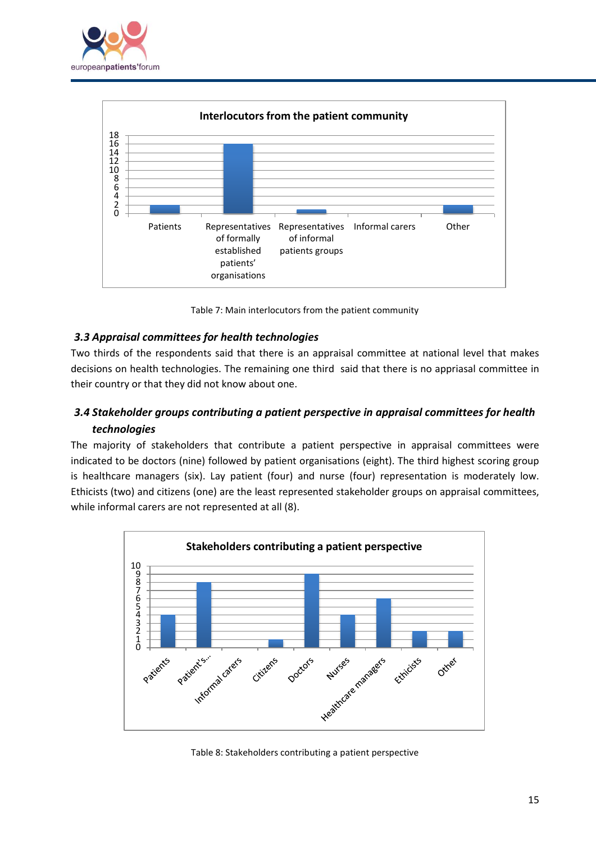![](_page_14_Picture_0.jpeg)

![](_page_14_Figure_1.jpeg)

Table 7: Main interlocutors from the patient community

#### <span id="page-14-2"></span><span id="page-14-0"></span>*3.3 Appraisal committees for health technologies*

Two thirds of the respondents said that there is an appraisal committee at national level that makes decisions on health technologies. The remaining one third said that there is no appriasal committee in their country or that they did not know about one.

## <span id="page-14-1"></span>*3.4 Stakeholder groups contributing a patient perspective in appraisal committees for health technologies*

The majority of stakeholders that contribute a patient perspective in appraisal committees were indicated to be doctors (nine) followed by patient organisations (eight). The third highest scoring group is healthcare managers (six). Lay patient (four) and nurse (four) representation is moderately low. Ethicists (two) and citizens (one) are the least represented stakeholder groups on appraisal committees, while informal carers are not represented at all (8).

![](_page_14_Figure_7.jpeg)

Table 8: Stakeholders contributing a patient perspective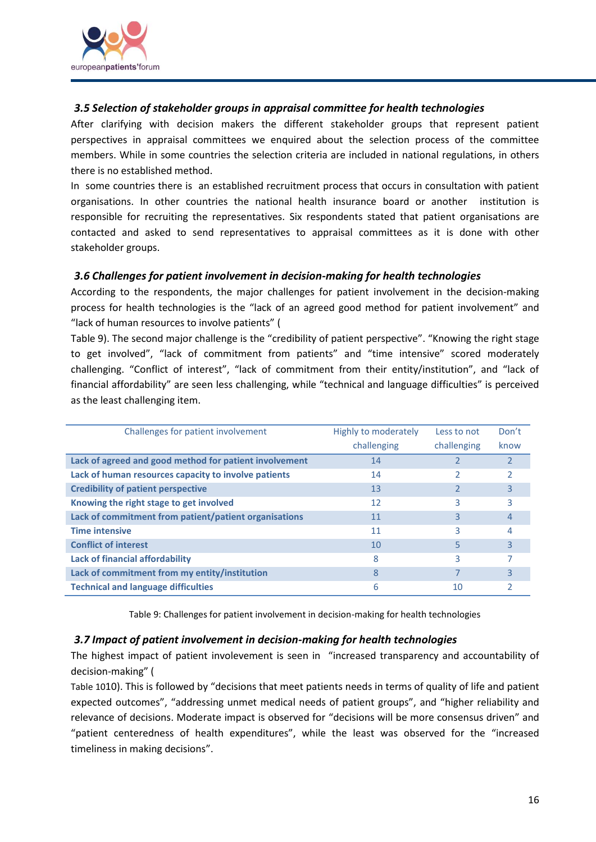![](_page_15_Picture_0.jpeg)

#### <span id="page-15-0"></span>*3.5 Selection of stakeholder groups in appraisal committee for health technologies*

After clarifying with decision makers the different stakeholder groups that represent patient perspectives in appraisal committees we enquired about the selection process of the committee members. While in some countries the selection criteria are included in national regulations, in others there is no established method.

In some countries there is an established recruitment process that occurs in consultation with patient organisations. In other countries the national health insurance board or another institution is responsible for recruiting the representatives. Six respondents stated that patient organisations are contacted and asked to send representatives to appraisal committees as it is done with other stakeholder groups.

#### <span id="page-15-1"></span>*3.6 Challenges for patient involvement in decision-making for health technologies*

According to the respondents, the major challenges for patient involvement in the decision-making process for health technologies is the "lack of an agreed good method for patient involvement" and "lack of human resources to involve patients" [\(](#page-15-3)

[Table](#page-15-3) 9). The second major challenge is the "credibility of patient perspective". "Knowing the right stage to get involved", "lack of commitment from patients" and "time intensive" scored moderately challenging. "Conflict of interest", "lack of commitment from their entity/institution", and "lack of financial affordability" are seen less challenging, while "technical and language difficulties" is perceived as the least challenging item.

| Challenges for patient involvement                     | Highly to moderately | Less to not | Don't |
|--------------------------------------------------------|----------------------|-------------|-------|
|                                                        | challenging          | challenging | know  |
| Lack of agreed and good method for patient involvement | 14                   |             |       |
| Lack of human resources capacity to involve patients   | 14                   |             |       |
| <b>Credibility of patient perspective</b>              | 13                   |             | 3     |
| Knowing the right stage to get involved                | 12                   | 3           |       |
| Lack of commitment from patient/patient organisations  | 11                   | 3           | 4     |
| <b>Time intensive</b>                                  | 11                   | ς           |       |
| <b>Conflict of interest</b>                            | 10                   | 5           | 3     |
| <b>Lack of financial affordability</b>                 | 8                    | ς           |       |
| Lack of commitment from my entity/institution          | 8                    |             | 3     |
| <b>Technical and language difficulties</b>             | 6                    | 10          |       |

Table 9: Challenges for patient involvement in decision-making for health technologies

#### <span id="page-15-3"></span><span id="page-15-2"></span>*3.7 Impact of patient involvement in decision-making for health technologies*

The highest impact of patient involevement is seen in "increased transparency and accountability of decision-making" [\(](#page-16-1)

[Table 10](#page-16-1)10). This is followed by "decisions that meet patients needs in terms of quality of life and patient expected outcomes", "addressing unmet medical needs of patient groups", and "higher reliability and relevance of decisions. Moderate impact is observed for "decisions will be more consensus driven" and "patient centeredness of health expenditures", while the least was observed for the "increased timeliness in making decisions".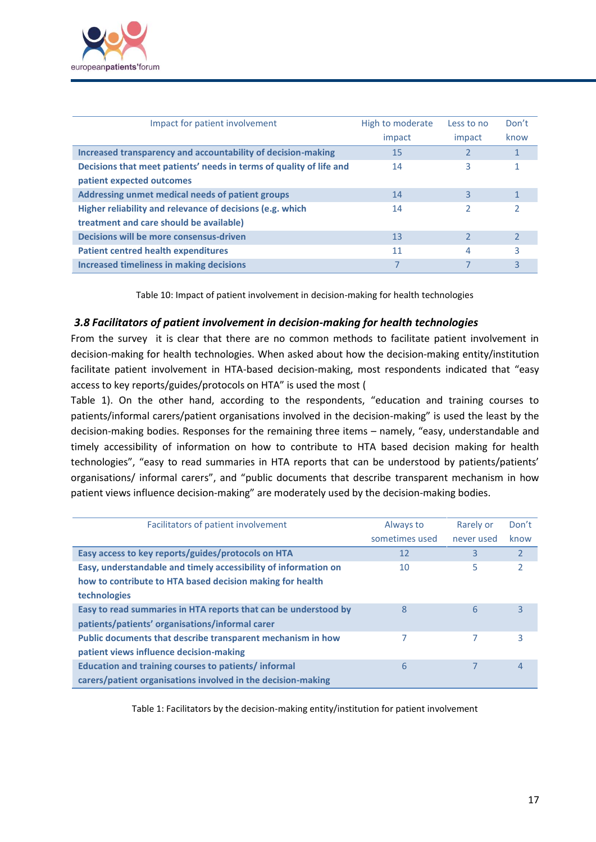![](_page_16_Picture_0.jpeg)

| Impact for patient involvement                                                                       | High to moderate<br>impact | Less to no<br>impact | Don't<br>know |
|------------------------------------------------------------------------------------------------------|----------------------------|----------------------|---------------|
| Increased transparency and accountability of decision-making                                         | 15                         |                      |               |
| Decisions that meet patients' needs in terms of quality of life and<br>patient expected outcomes     | 14                         | 3                    |               |
| Addressing unmet medical needs of patient groups                                                     | 14                         | 3                    |               |
| Higher reliability and relevance of decisions (e.g. which<br>treatment and care should be available) | 14                         |                      |               |
| Decisions will be more consensus-driven                                                              | 13                         |                      |               |
| <b>Patient centred health expenditures</b>                                                           | 11                         | 4                    | ς             |
| <b>Increased timeliness in making decisions</b>                                                      |                            |                      | 3             |

Table 10: Impact of patient involvement in decision-making for health technologies

#### <span id="page-16-1"></span><span id="page-16-0"></span>*3.8 Facilitators of patient involvement in decision-making for health technologies*

From the survey it is clear that there are no common methods to facilitate patient involvement in decision-making for health technologies. When asked about how the decision-making entity/institution facilitate patient involvement in HTA-based decision-making, most respondents indicated that "easy access to key reports/guides/protocols on HTA" is used the most [\(](#page-16-2)

[Table](#page-16-2) 1). On the other hand, according to the respondents, "education and training courses to patients/informal carers/patient organisations involved in the decision-making" is used the least by the decision-making bodies. Responses for the remaining three items – namely, "easy, understandable and timely accessibility of information on how to contribute to HTA based decision making for health technologies", "easy to read summaries in HTA reports that can be understood by patients/patients' organisations/ informal carers", and "public documents that describe transparent mechanism in how patient views influence decision-making" are moderately used by the decision-making bodies.

| Facilitators of patient involvement                             | Always to      | Rarely or  | Don't          |
|-----------------------------------------------------------------|----------------|------------|----------------|
|                                                                 | sometimes used | never used | know           |
| Easy access to key reports/guides/protocols on HTA              | 12             | 3          | $\overline{2}$ |
| Easy, understandable and timely accessibility of information on | 10             | 5          | $\overline{2}$ |
| how to contribute to HTA based decision making for health       |                |            |                |
| technologies                                                    |                |            |                |
| Easy to read summaries in HTA reports that can be understood by | 8              | 6          | 3              |
| patients/patients' organisations/informal carer                 |                |            |                |
| Public documents that describe transparent mechanism in how     | 7              | 7          | 3              |
| patient views influence decision-making                         |                |            |                |
| Education and training courses to patients/informal             | 6              |            | 4              |
| carers/patient organisations involved in the decision-making    |                |            |                |

<span id="page-16-2"></span>Table 1: Facilitators by the decision-making entity/institution for patient involvement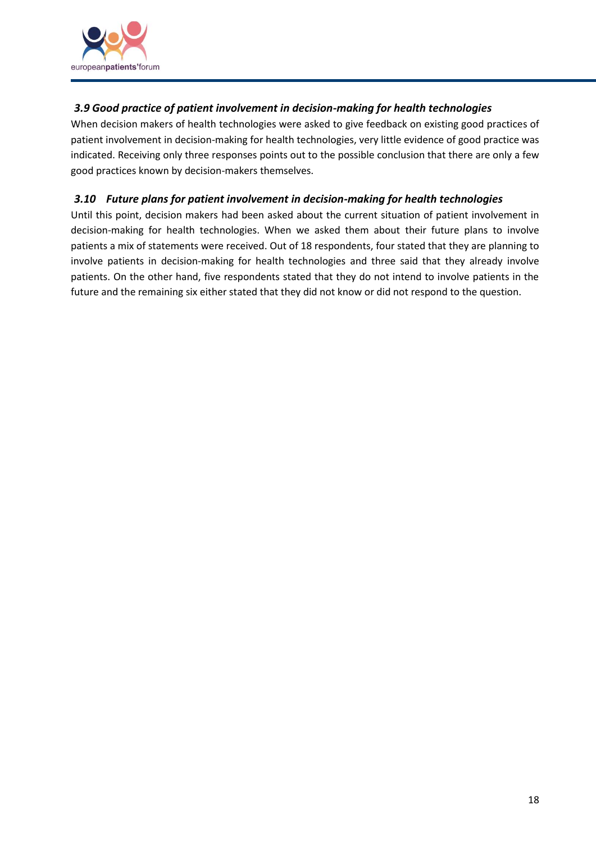![](_page_17_Picture_0.jpeg)

### <span id="page-17-0"></span>*3.9 Good practice of patient involvement in decision-making for health technologies*

When decision makers of health technologies were asked to give feedback on existing good practices of patient involvement in decision-making for health technologies, very little evidence of good practice was indicated. Receiving only three responses points out to the possible conclusion that there are only a few good practices known by decision-makers themselves.

#### <span id="page-17-1"></span>*3.10 Future plans for patient involvement in decision-making for health technologies*

Until this point, decision makers had been asked about the current situation of patient involvement in decision-making for health technologies. When we asked them about their future plans to involve patients a mix of statements were received. Out of 18 respondents, four stated that they are planning to involve patients in decision-making for health technologies and three said that they already involve patients. On the other hand, five respondents stated that they do not intend to involve patients in the future and the remaining six either stated that they did not know or did not respond to the question.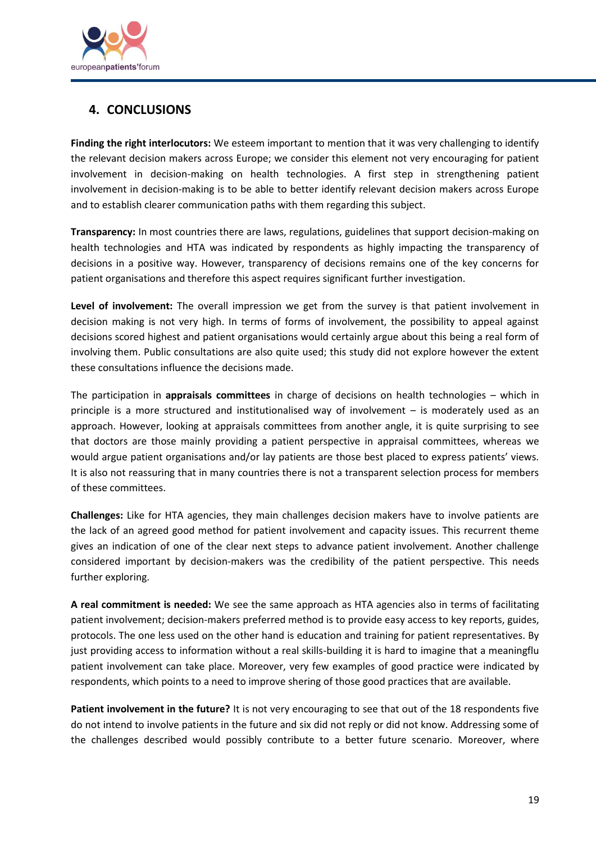![](_page_18_Picture_0.jpeg)

## <span id="page-18-0"></span>**4. CONCLUSIONS**

**Finding the right interlocutors:** We esteem important to mention that it was very challenging to identify the relevant decision makers across Europe; we consider this element not very encouraging for patient involvement in decision-making on health technologies. A first step in strengthening patient involvement in decision-making is to be able to better identify relevant decision makers across Europe and to establish clearer communication paths with them regarding this subject.

**Transparency:** In most countries there are laws, regulations, guidelines that support decision-making on health technologies and HTA was indicated by respondents as highly impacting the transparency of decisions in a positive way. However, transparency of decisions remains one of the key concerns for patient organisations and therefore this aspect requires significant further investigation.

**Level of involvement:** The overall impression we get from the survey is that patient involvement in decision making is not very high. In terms of forms of involvement, the possibility to appeal against decisions scored highest and patient organisations would certainly argue about this being a real form of involving them. Public consultations are also quite used; this study did not explore however the extent these consultations influence the decisions made.

The participation in **appraisals committees** in charge of decisions on health technologies – which in principle is a more structured and institutionalised way of involvement – is moderately used as an approach. However, looking at appraisals committees from another angle, it is quite surprising to see that doctors are those mainly providing a patient perspective in appraisal committees, whereas we would argue patient organisations and/or lay patients are those best placed to express patients' views. It is also not reassuring that in many countries there is not a transparent selection process for members of these committees.

**Challenges:** Like for HTA agencies, they main challenges decision makers have to involve patients are the lack of an agreed good method for patient involvement and capacity issues. This recurrent theme gives an indication of one of the clear next steps to advance patient involvement. Another challenge considered important by decision-makers was the credibility of the patient perspective. This needs further exploring.

**A real commitment is needed:** We see the same approach as HTA agencies also in terms of facilitating patient involvement; decision-makers preferred method is to provide easy access to key reports, guides, protocols. The one less used on the other hand is education and training for patient representatives. By just providing access to information without a real skills-building it is hard to imagine that a meaningflu patient involvement can take place. Moreover, very few examples of good practice were indicated by respondents, which points to a need to improve shering of those good practices that are available.

**Patient involvement in the future?** It is not very encouraging to see that out of the 18 respondents five do not intend to involve patients in the future and six did not reply or did not know. Addressing some of the challenges described would possibly contribute to a better future scenario. Moreover, where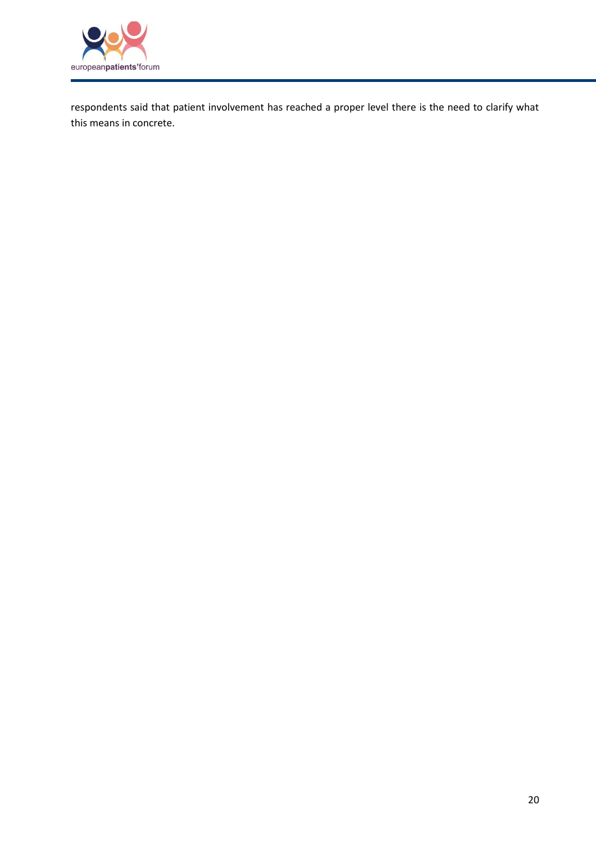![](_page_19_Picture_0.jpeg)

respondents said that patient involvement has reached a proper level there is the need to clarify what this means in concrete.